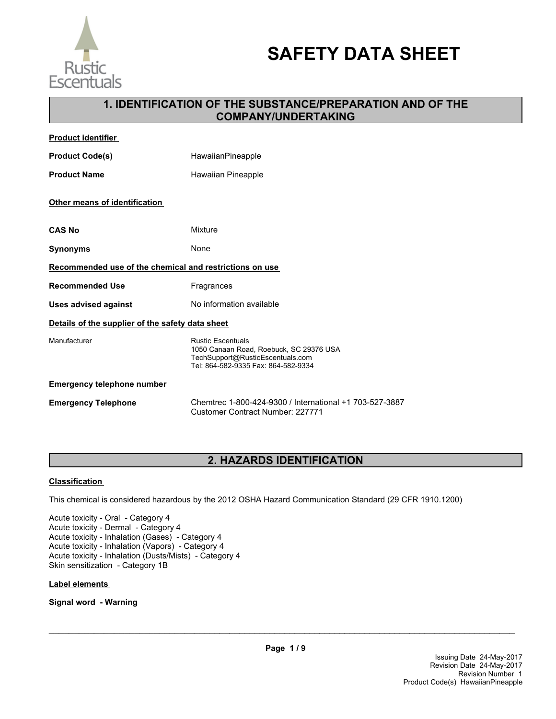

# **SAFETY DATA SHEET**

## **1. IDENTIFICATION OF THE SUBSTANCE/PREPARATION AND OF THE COMPANY/UNDERTAKING**

| <b>Product identifier</b>                               |                                                                                                                                                |  |  |
|---------------------------------------------------------|------------------------------------------------------------------------------------------------------------------------------------------------|--|--|
| <b>Product Code(s)</b>                                  | <b>HawaiianPineapple</b>                                                                                                                       |  |  |
| <b>Product Name</b>                                     | Hawaiian Pineapple                                                                                                                             |  |  |
| Other means of identification                           |                                                                                                                                                |  |  |
| <b>CAS No</b>                                           | Mixture                                                                                                                                        |  |  |
| <b>Synonyms</b>                                         | None                                                                                                                                           |  |  |
| Recommended use of the chemical and restrictions on use |                                                                                                                                                |  |  |
| <b>Recommended Use</b>                                  | Fragrances                                                                                                                                     |  |  |
| Uses advised against                                    | No information available                                                                                                                       |  |  |
| Details of the supplier of the safety data sheet        |                                                                                                                                                |  |  |
| Manufacturer                                            | <b>Rustic Escentuals</b><br>1050 Canaan Road, Roebuck, SC 29376 USA<br>TechSupport@RusticEscentuals.com<br>Tel: 864-582-9335 Fax: 864-582-9334 |  |  |
| <b>Emergency telephone number</b>                       |                                                                                                                                                |  |  |
| <b>Emergency Telephone</b>                              | Chemtrec 1-800-424-9300 / International +1 703-527-3887<br>Customer Contract Number: 227771                                                    |  |  |

## **2. HAZARDS IDENTIFICATION**

## **Classification**

This chemical is considered hazardous by the 2012 OSHA Hazard Communication Standard (29 CFR 1910.1200)

Acute toxicity - Oral - Category 4 Acute toxicity - Dermal - Category 4 Acute toxicity - Inhalation (Gases) - Category 4 Acute toxicity - Inhalation (Vapors) - Category 4 Acute toxicity - Inhalation (Dusts/Mists) - Category 4 Skin sensitization - Category 1B

#### **Label elements**

**Signal word - Warning**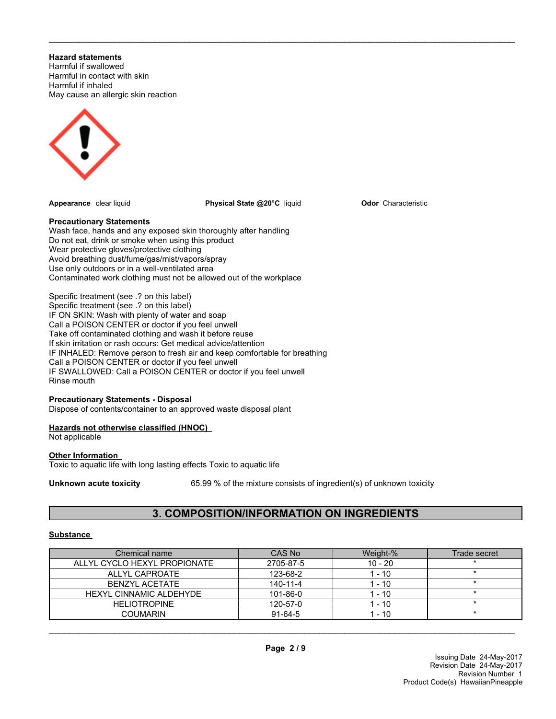**Hazard statements**

Harmful if swallowed Harmful in contact with skin Harmful if inhaled May cause an allergic skin reaction



**Appearance** clear liquid **Physical State @20°C** liquid

\_\_\_\_\_\_\_\_\_\_\_\_\_\_\_\_\_\_\_\_\_\_\_\_\_\_\_\_\_\_\_\_\_\_\_\_\_\_\_\_\_\_\_\_\_\_\_\_\_\_\_\_\_\_\_\_\_\_\_\_\_\_\_\_\_\_\_\_\_\_\_\_\_\_\_\_\_\_\_\_\_\_\_\_\_\_\_\_\_\_\_\_\_

**Odor** Characteristic

### **Precautionary Statements**

Wash face, hands and any exposed skin thoroughly after handling Do not eat, drink or smoke when using this product Wear protective gloves/protective clothing Avoid breathing dust/fume/gas/mist/vapors/spray Use only outdoors or in a well-ventilated area Contaminated work clothing must not be allowed out of the workplace

Specific treatment (see .? on this label) Specific treatment (see .? on this label) IF ON SKIN: Wash with plenty of water and soap Call a POISON CENTER or doctor if you feel unwell Take off contaminated clothing and wash it before reuse If skin irritation or rash occurs: Get medical advice/attention IF INHALED: Remove person to fresh air and keep comfortable for breathing Call a POISON CENTER or doctor if you feel unwell IF SWALLOWED: Call a POISON CENTER or doctor if you feel unwell Rinse mouth

## **Precautionary Statements - Disposal**

Dispose of contents/container to an approved waste disposal plant

## **Hazards not otherwise classified (HNOC)**

Not applicable

## **Other Information**

Toxic to aquatic life with long lasting effects Toxic to aquatic life

**Unknown acute toxicity** 65.99 % of the mixture consists of ingredient(s) of unknown toxicity

## **3. COMPOSITION/INFORMATION ON INGREDIENTS**

## **Substance**

| Chemical name                  | CAS No    | Weight-%  | Trade secret |
|--------------------------------|-----------|-----------|--------------|
| ALLYL CYCLO HEXYL PROPIONATE   | 2705-87-5 | $10 - 20$ |              |
| ALLYL CAPROATE                 | 123-68-2  | 1 - 10    |              |
| BENZYL ACETATE                 | 140-11-4  | - 10      |              |
| <b>HEXYL CINNAMIC ALDEHYDE</b> | 101-86-0  | 1 - 10    |              |
| <b>HELIOTROPINE</b>            | 120-57-0  | 1 - 10    |              |
| COUMARIN                       | $91-64-5$ | $-10$     |              |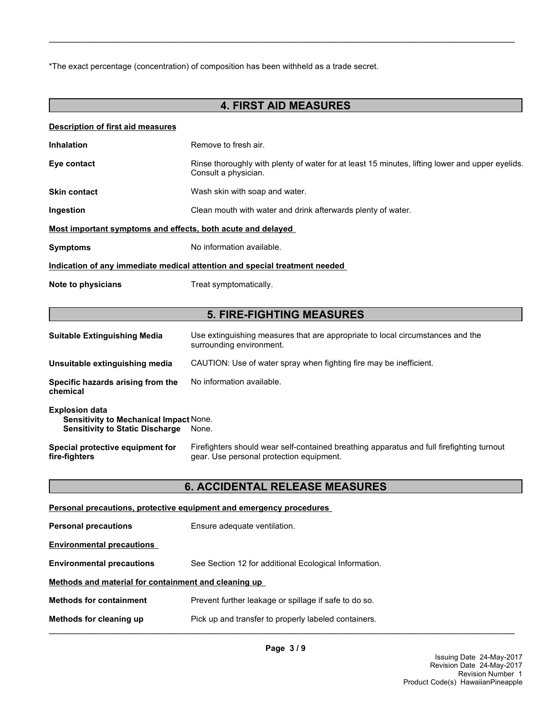\*The exact percentage (concentration) of composition has been withheld as a trade secret.

## **4. FIRST AID MEASURES**

\_\_\_\_\_\_\_\_\_\_\_\_\_\_\_\_\_\_\_\_\_\_\_\_\_\_\_\_\_\_\_\_\_\_\_\_\_\_\_\_\_\_\_\_\_\_\_\_\_\_\_\_\_\_\_\_\_\_\_\_\_\_\_\_\_\_\_\_\_\_\_\_\_\_\_\_\_\_\_\_\_\_\_\_\_\_\_\_\_\_\_\_\_

#### **Description of first aid measures**

| <b>Inhalation</b>                                                          | Remove to fresh air.                                                                                                    |  |  |
|----------------------------------------------------------------------------|-------------------------------------------------------------------------------------------------------------------------|--|--|
| Eye contact                                                                | Rinse thoroughly with plenty of water for at least 15 minutes, lifting lower and upper eyelids.<br>Consult a physician. |  |  |
| <b>Skin contact</b>                                                        | Wash skin with soap and water.                                                                                          |  |  |
| Ingestion                                                                  | Clean mouth with water and drink afterwards plenty of water.                                                            |  |  |
| <u>Most important symptoms and effects, both acute and delayed</u>         |                                                                                                                         |  |  |
| <b>Symptoms</b>                                                            | No information available.                                                                                               |  |  |
| Indication of any immediate medical attention and special treatment needed |                                                                                                                         |  |  |
| Note to physicians                                                         | Treat symptomatically.                                                                                                  |  |  |
|                                                                            |                                                                                                                         |  |  |
|                                                                            | <b>5. FIRE-FIGHTING MEASURES</b>                                                                                        |  |  |
| <b>Suitable Extinguishing Media</b>                                        | Use extinguishing measures that are appropriate to local circumstances and the<br>surrounding environment.              |  |  |
| Unsuitable extinguishing media                                             | CAUTION: Use of water spray when fighting fire may be inefficient.                                                      |  |  |
| Specific hazards arising from the<br>chemical                              | No information available.                                                                                               |  |  |

## **Explosion data Sensitivity to Mechanical Impact** None. **Sensitivity to Static Discharge** None.

**Special protective equipment for fire-fighters** Firefighters should wear self-contained breathing apparatus and full firefighting turnout gear. Use personal protection equipment.

## **6. ACCIDENTAL RELEASE MEASURES**

| <b>Personal precautions, protective equipment and emergency procedures</b>      |                                                       |  |  |
|---------------------------------------------------------------------------------|-------------------------------------------------------|--|--|
| <b>Personal precautions</b>                                                     | Ensure adequate ventilation.                          |  |  |
| <b>Environmental precautions</b>                                                |                                                       |  |  |
| <b>Environmental precautions</b>                                                | See Section 12 for additional Ecological Information. |  |  |
| Methods and material for containment and cleaning up                            |                                                       |  |  |
| <b>Methods for containment</b>                                                  | Prevent further leakage or spillage if safe to do so. |  |  |
| Pick up and transfer to properly labeled containers.<br>Methods for cleaning up |                                                       |  |  |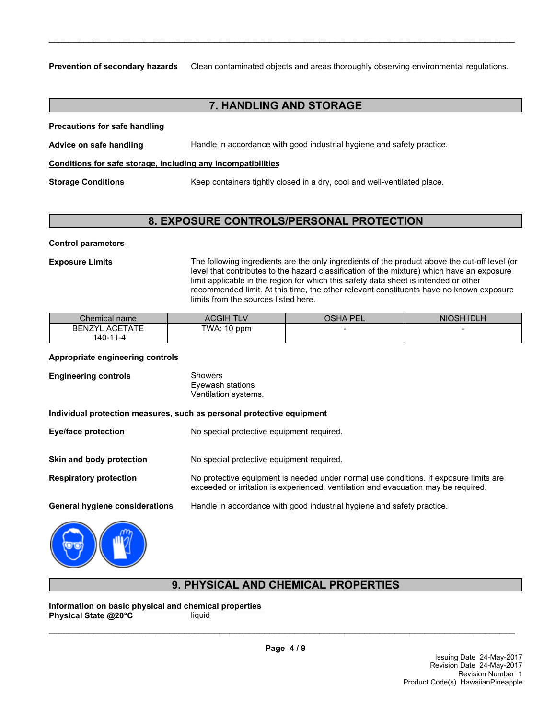**Prevention of secondary hazards** Clean contaminated objects and areas thoroughly observing environmental regulations.

\_\_\_\_\_\_\_\_\_\_\_\_\_\_\_\_\_\_\_\_\_\_\_\_\_\_\_\_\_\_\_\_\_\_\_\_\_\_\_\_\_\_\_\_\_\_\_\_\_\_\_\_\_\_\_\_\_\_\_\_\_\_\_\_\_\_\_\_\_\_\_\_\_\_\_\_\_\_\_\_\_\_\_\_\_\_\_\_\_\_\_\_\_

## **7. HANDLING AND STORAGE**

**Precautions for safe handling**

**Advice on safe handling** Handle in accordance with good industrial hygiene and safety practice.

### **Conditions for safe storage, including any incompatibilities**

**Storage Conditions** Keep containers tightly closed in a dry, cool and well-ventilated place.

## **8. EXPOSURE CONTROLS/PERSONAL PROTECTION**

### **Control parameters**

**Exposure Limits** The following ingredients are the only ingredients of the product above the cut-off level (or level that contributes to the hazard classification of the mixture) which have an exposure limit applicable in the region for which this safety data sheet is intended or other recommended limit. At this time, the other relevant constituents have no known exposure limits from the sources listed here.

| Chemical name                     | ACGIH TLV   | <b>OSHA PEL</b> | <b>NIOSH IDLH</b> |
|-----------------------------------|-------------|-----------------|-------------------|
| <b>BENZYL ACETATE</b><br>140-11-4 | TWA: 10 ppm |                 |                   |

### **Appropriate engineering controls**

| <b>Engineering controls</b>           | <b>Showers</b><br>Eyewash stations<br>Ventilation systems.                                                                                                                  |
|---------------------------------------|-----------------------------------------------------------------------------------------------------------------------------------------------------------------------------|
|                                       | Individual protection measures, such as personal protective equipment                                                                                                       |
| Eye/face protection                   | No special protective equipment required.                                                                                                                                   |
| Skin and body protection              | No special protective equipment required.                                                                                                                                   |
| <b>Respiratory protection</b>         | No protective equipment is needed under normal use conditions. If exposure limits are<br>exceeded or irritation is experienced, ventilation and evacuation may be required. |
| <b>General hygiene considerations</b> | Handle in accordance with good industrial hygiene and safety practice.                                                                                                      |
|                                       |                                                                                                                                                                             |



## **9. PHYSICAL AND CHEMICAL PROPERTIES**

**Information on basic physical and chemical properties Physical State @20°C** liquid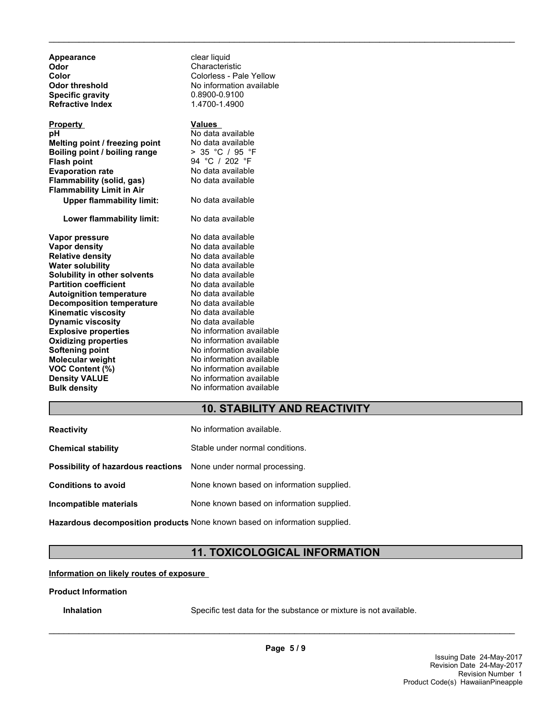| clear liquid<br>Characteristic<br>Colorless - Pale Yellow<br>No information available<br>0.8900-0.9100<br>1.4700-1.4900                                     |
|-------------------------------------------------------------------------------------------------------------------------------------------------------------|
| <b>Values</b><br>No data available<br>No data available<br>> 35 °C / 95 °F<br>94 °C / 202 °F<br>No data available<br>No data available<br>No data available |
| No data available                                                                                                                                           |
| No data available<br>No data available<br>No data available<br>No data available<br>No data available<br>No data available                                  |
| No data available<br>No data available<br>No data available<br>No data available<br>No information available<br>No information available                    |
| No information available<br>No information available<br>No information available<br>No information available<br>No information available                    |
|                                                                                                                                                             |

## **10. STABILITY AND REACTIVITY**

\_\_\_\_\_\_\_\_\_\_\_\_\_\_\_\_\_\_\_\_\_\_\_\_\_\_\_\_\_\_\_\_\_\_\_\_\_\_\_\_\_\_\_\_\_\_\_\_\_\_\_\_\_\_\_\_\_\_\_\_\_\_\_\_\_\_\_\_\_\_\_\_\_\_\_\_\_\_\_\_\_\_\_\_\_\_\_\_\_\_\_\_\_

| <b>Reactivity</b>                                                       | No information available.                 |
|-------------------------------------------------------------------------|-------------------------------------------|
| <b>Chemical stability</b>                                               | Stable under normal conditions.           |
| <b>Possibility of hazardous reactions</b> None under normal processing. |                                           |
| <b>Conditions to avoid</b>                                              | None known based on information supplied. |
| Incompatible materials                                                  | None known based on information supplied. |

**Hazardous decomposition products** None known based on information supplied.

## **11. TOXICOLOGICAL INFORMATION**

#### **Information on likely routes of exposure**

#### **Product Information**

**Inhalation** Specific test data for the substance or mixture is not available.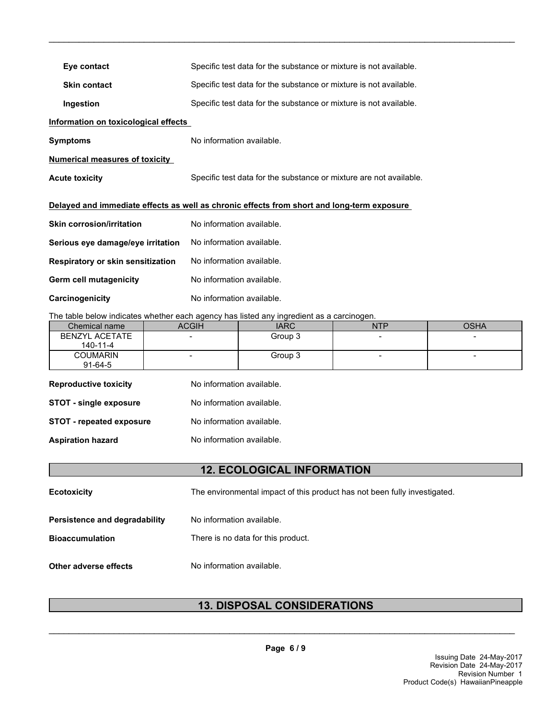| Eye contact                                                                                | Specific test data for the substance or mixture is not available.  |  |  |
|--------------------------------------------------------------------------------------------|--------------------------------------------------------------------|--|--|
| <b>Skin contact</b>                                                                        | Specific test data for the substance or mixture is not available.  |  |  |
| Ingestion                                                                                  | Specific test data for the substance or mixture is not available.  |  |  |
| Information on toxicological effects                                                       |                                                                    |  |  |
| <b>Symptoms</b>                                                                            | No information available.                                          |  |  |
| <b>Numerical measures of toxicity</b>                                                      |                                                                    |  |  |
| <b>Acute toxicity</b>                                                                      | Specific test data for the substance or mixture are not available. |  |  |
| Delayed and immediate effects as well as chronic effects from short and long-term exposure |                                                                    |  |  |
| <b>Skin corrosion/irritation</b>                                                           | No information available.                                          |  |  |
| Serious eye damage/eye irritation                                                          | No information available.                                          |  |  |
| Respiratory or skin sensitization                                                          | No information available.                                          |  |  |
| Germ cell mutagenicity                                                                     | No information available.                                          |  |  |
| Carcinogenicity                                                                            | No information available.                                          |  |  |

The table below indicates whether each agency has listed any ingredient as a carcinogen.

| Chemical name   | ACGIH                    | <b>IARC</b> | <b>NTP</b> | <b>OSHA</b> |
|-----------------|--------------------------|-------------|------------|-------------|
| BENZYL ACETATE  | $\overline{\phantom{0}}$ | Group 3     |            |             |
| 140-11-4        |                          |             |            |             |
| <b>COUMARIN</b> | $\overline{\phantom{0}}$ | Group 3     |            | -           |
| $91 - 64 - 5$   |                          |             |            |             |

\_\_\_\_\_\_\_\_\_\_\_\_\_\_\_\_\_\_\_\_\_\_\_\_\_\_\_\_\_\_\_\_\_\_\_\_\_\_\_\_\_\_\_\_\_\_\_\_\_\_\_\_\_\_\_\_\_\_\_\_\_\_\_\_\_\_\_\_\_\_\_\_\_\_\_\_\_\_\_\_\_\_\_\_\_\_\_\_\_\_\_\_\_

| <b>Reproductive toxicity</b>    | No information available. |
|---------------------------------|---------------------------|
| <b>STOT - single exposure</b>   | No information available. |
| <b>STOT - repeated exposure</b> | No information available. |
| <b>Aspiration hazard</b>        | No information available. |

## **12. ECOLOGICAL INFORMATION**

| <b>Ecotoxicity</b>                                      | The environmental impact of this product has not been fully investigated. |
|---------------------------------------------------------|---------------------------------------------------------------------------|
| Persistence and degradability<br><b>Bioaccumulation</b> | No information available.<br>There is no data for this product.           |
| Other adverse effects                                   | No information available.                                                 |

## **13. DISPOSAL CONSIDERATIONS**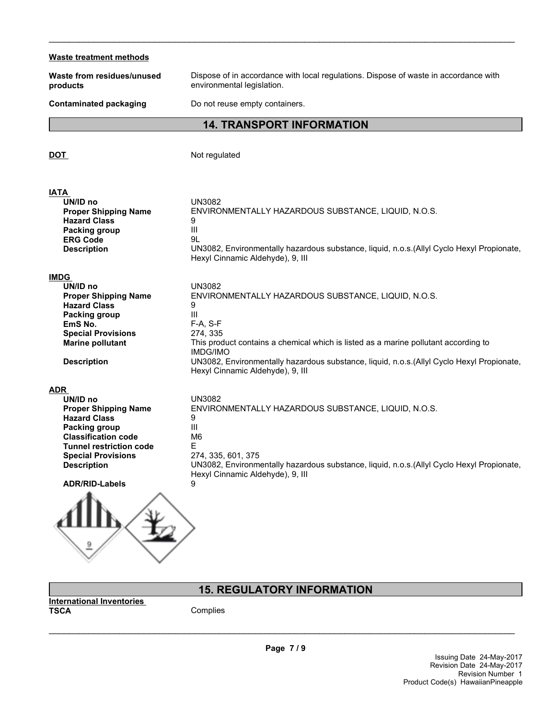## **Waste treatment methods Waste from residues/unused products** Dispose of in accordance with local regulations. Dispose of waste in accordance with environmental legislation. **Contaminated packaging Do not reuse empty containers. 14. TRANSPORT INFORMATION DOT** Not regulated **IATA UN/ID no** UN3082 **Proper Shipping Name** ENVIRONMENTALLY HAZARDOUS SUBSTANCE, LIQUID, N.O.S. **Hazard Class** 9 **Packing group** III **ERG Code** 9L **Description** UN3082, Environmentally hazardous substance, liquid, n.o.s.(Allyl Cyclo Hexyl Propionate, Hexyl Cinnamic Aldehyde), 9, III **IMDG UN/ID no** UN3082 **Proper Shipping Name** ENVIRONMENTALLY HAZARDOUS SUBSTANCE, LIQUID, N.O.S.<br>Hazard Class 9 **Hazard Class** 9<br>**Packing group** 11 **Packing group F-A. S-F**<br>**EmS No.** F-A. S-F **EmS No. Special Provisions** 274, 335 **Marine pollutant** This product contains a chemical which is listed as a marine pollutant according to IMDG/IMO **Description** UN3082, Environmentally hazardous substance, liquid, n.o.s.(Allyl Cyclo Hexyl Propionate, Hexyl Cinnamic Aldehyde), 9, III **ADR UN/ID no** UN3082<br> **Proper Shipping Name** ENVIRO **ENVIRONMENTALLY HAZARDOUS SUBSTANCE, LIQUID, N.O.S. Hazard Class** 9 **Packing group** III **Classification code Tunnel restriction code** E<br> **Special Provisions** 274, 335, 601, 375 **Special Provisions Description** UN3082, Environmentally hazardous substance, liquid, n.o.s.(Allyl Cyclo Hexyl Propionate, Hexyl Cinnamic Aldehyde), 9, III **ADR/RID-Labels** 9

\_\_\_\_\_\_\_\_\_\_\_\_\_\_\_\_\_\_\_\_\_\_\_\_\_\_\_\_\_\_\_\_\_\_\_\_\_\_\_\_\_\_\_\_\_\_\_\_\_\_\_\_\_\_\_\_\_\_\_\_\_\_\_\_\_\_\_\_\_\_\_\_\_\_\_\_\_\_\_\_\_\_\_\_\_\_\_\_\_\_\_\_\_



## **15. REGULATORY INFORMATION**

**TSCA** Complies

**Page 7 / 9**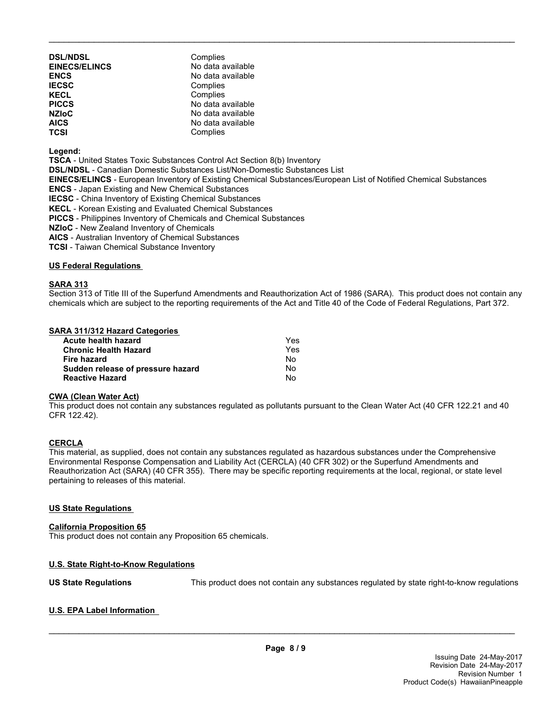| <b>DSL/NDSL</b><br><b>EINECS/ELINCS</b><br><b>ENCS</b> | Complies<br>No data available<br>No data available |
|--------------------------------------------------------|----------------------------------------------------|
| <b>IECSC</b>                                           | Complies                                           |
| <b>KECL</b><br><b>PICCS</b>                            | Complies<br>No data available                      |
| <b>NZIOC</b>                                           | No data available                                  |
| <b>AICS</b>                                            | No data available                                  |
| <b>TCSI</b>                                            | Complies                                           |

**Legend:**

**TSCA** - United States Toxic Substances Control Act Section 8(b) Inventory

**DSL/NDSL** - Canadian Domestic Substances List/Non-Domestic Substances List

**EINECS/ELINCS** - European Inventory of Existing Chemical Substances/European List of Notified Chemical Substances

\_\_\_\_\_\_\_\_\_\_\_\_\_\_\_\_\_\_\_\_\_\_\_\_\_\_\_\_\_\_\_\_\_\_\_\_\_\_\_\_\_\_\_\_\_\_\_\_\_\_\_\_\_\_\_\_\_\_\_\_\_\_\_\_\_\_\_\_\_\_\_\_\_\_\_\_\_\_\_\_\_\_\_\_\_\_\_\_\_\_\_\_\_

**ENCS** - Japan Existing and New Chemical Substances

**IECSC** - China Inventory of Existing Chemical Substances

**KECL** - Korean Existing and Evaluated Chemical Substances

**PICCS** - Philippines Inventory of Chemicals and Chemical Substances

**NZIoC** - New Zealand Inventory of Chemicals

**AICS** - Australian Inventory of Chemical Substances

**TCSI** - Taiwan Chemical Substance Inventory

#### **US Federal Regulations**

#### **SARA 313**

Section 313 of Title III of the Superfund Amendments and Reauthorization Act of 1986 (SARA). This product does not contain any chemicals which are subject to the reporting requirements of the Act and Title 40 of the Code of Federal Regulations, Part 372.

#### **SARA 311/312 Hazard Categories**

| Acute health hazard               | Yes. |
|-----------------------------------|------|
| <b>Chronic Health Hazard</b>      | Yes. |
| Fire hazard                       | N٥   |
| Sudden release of pressure hazard | Nο   |
| <b>Reactive Hazard</b>            | N٥   |

#### **CWA (Clean Water Act)**

This product does not contain any substances regulated as pollutants pursuant to the Clean Water Act (40 CFR 122.21 and 40 CFR 122.42).

#### **CERCLA**

This material, as supplied, does not contain any substances regulated as hazardous substances under the Comprehensive Environmental Response Compensation and Liability Act (CERCLA) (40 CFR 302) or the Superfund Amendments and Reauthorization Act (SARA) (40 CFR 355). There may be specific reporting requirements at the local, regional, or state level pertaining to releases of this material.

#### **US State Regulations**

#### **California Proposition 65**

This product does not contain any Proposition 65 chemicals.

## **U.S. State Right-to-Know Regulations**

**US State Regulations** This product does not contain any substances regulated by state right-to-know regulations

## **U.S. EPA Label Information**